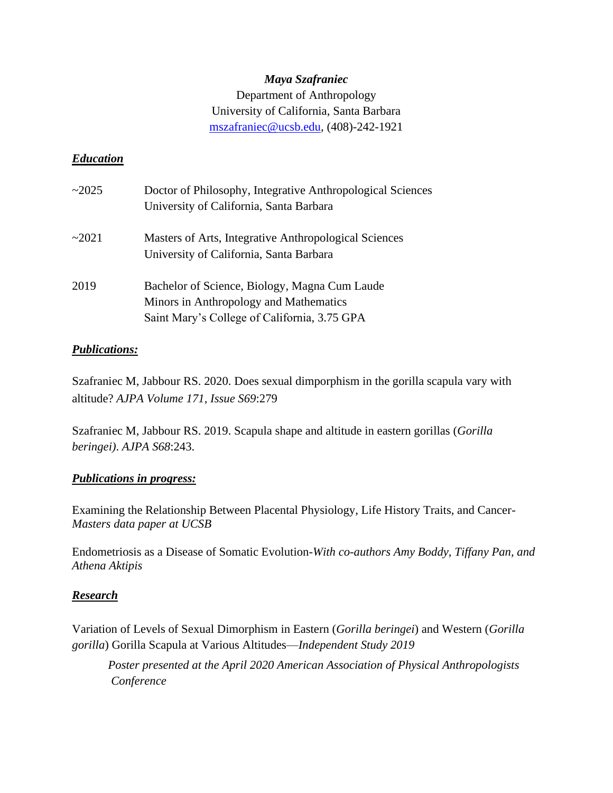## *Maya Szafraniec* Department of Anthropology University of California, Santa Barbara [mszafraniec@ucsb.edu,](mailto:mszafraniec@ucsb.edu) (408)-242-1921

## *Education*

| $\sim$ 2025 | Doctor of Philosophy, Integrative Anthropological Sciences<br>University of California, Santa Barbara                                   |
|-------------|-----------------------------------------------------------------------------------------------------------------------------------------|
| ~2021       | Masters of Arts, Integrative Anthropological Sciences<br>University of California, Santa Barbara                                        |
| 2019        | Bachelor of Science, Biology, Magna Cum Laude<br>Minors in Anthropology and Mathematics<br>Saint Mary's College of California, 3.75 GPA |

### *Publications:*

Szafraniec M, Jabbour RS. 2020. Does sexual dimporphism in the gorilla scapula vary with altitude? *AJPA Volume 171, Issue S69*:279

Szafraniec M, Jabbour RS. 2019. Scapula shape and altitude in eastern gorillas (*Gorilla beringei)*. *AJPA S68*:243.

### *Publications in progress:*

Examining the Relationship Between Placental Physiology, Life History Traits, and Cancer-*Masters data paper at UCSB*

Endometriosis as a Disease of Somatic Evolution-*With co-authors Amy Boddy, Tiffany Pan, and Athena Aktipis*

### *Research*

Variation of Levels of Sexual Dimorphism in Eastern (*Gorilla beringei*) and Western (*Gorilla gorilla*) Gorilla Scapula at Various Altitudes—*Independent Study 2019*

*Poster presented at the April 2020 American Association of Physical Anthropologists Conference*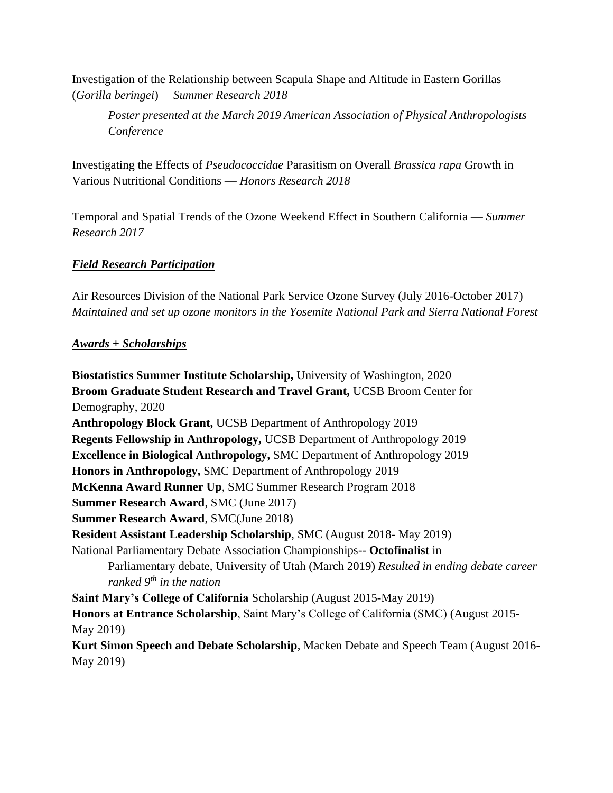Investigation of the Relationship between Scapula Shape and Altitude in Eastern Gorillas (*Gorilla beringei*)— *Summer Research 2018*

*Poster presented at the March 2019 American Association of Physical Anthropologists Conference* 

Investigating the Effects of *Pseudococcidae* Parasitism on Overall *Brassica rapa* Growth in Various Nutritional Conditions — *Honors Research 2018*

Temporal and Spatial Trends of the Ozone Weekend Effect in Southern California — *Summer Research 2017*

## *Field Research Participation*

Air Resources Division of the National Park Service Ozone Survey (July 2016-October 2017) *Maintained and set up ozone monitors in the Yosemite National Park and Sierra National Forest*

### *Awards + Scholarships*

**Biostatistics Summer Institute Scholarship,** University of Washington, 2020 **Broom Graduate Student Research and Travel Grant,** UCSB Broom Center for Demography, 2020 **Anthropology Block Grant,** UCSB Department of Anthropology 2019 **Regents Fellowship in Anthropology,** UCSB Department of Anthropology 2019 **Excellence in Biological Anthropology,** SMC Department of Anthropology 2019 **Honors in Anthropology,** SMC Department of Anthropology 2019 **McKenna Award Runner Up**, SMC Summer Research Program 2018 **Summer Research Award**, SMC (June 2017) **Summer Research Award**, SMC(June 2018) **Resident Assistant Leadership Scholarship**, SMC (August 2018- May 2019) National Parliamentary Debate Association Championships-- **Octofinalist** in Parliamentary debate, University of Utah (March 2019) *Resulted in ending debate career ranked 9th in the nation* **Saint Mary's College of California** Scholarship (August 2015-May 2019) **Honors at Entrance Scholarship**, Saint Mary's College of California (SMC) (August 2015- May 2019) **Kurt Simon Speech and Debate Scholarship**, Macken Debate and Speech Team (August 2016- May 2019)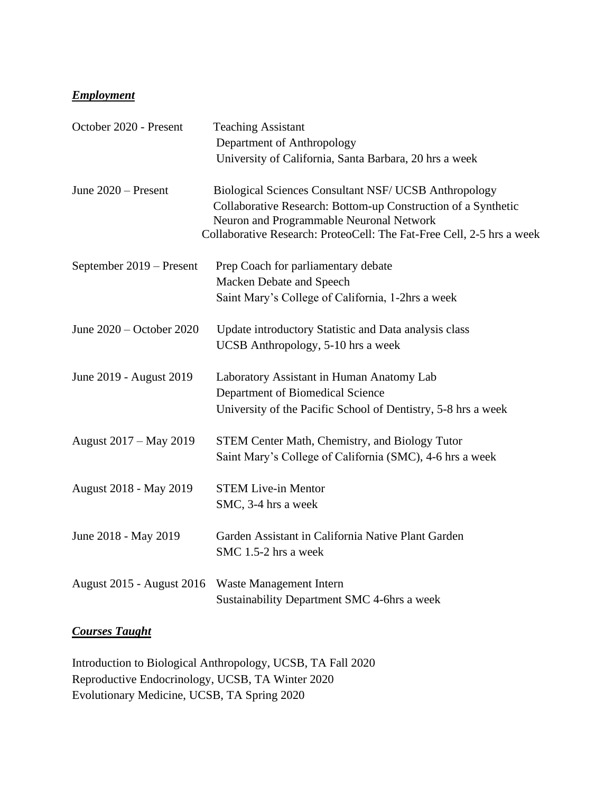## *Employment*

| October 2020 - Present           | <b>Teaching Assistant</b>                                                                                 |
|----------------------------------|-----------------------------------------------------------------------------------------------------------|
|                                  | Department of Anthropology                                                                                |
|                                  | University of California, Santa Barbara, 20 hrs a week                                                    |
| June $2020$ – Present            | <b>Biological Sciences Consultant NSF/ UCSB Anthropology</b>                                              |
|                                  | Collaborative Research: Bottom-up Construction of a Synthetic<br>Neuron and Programmable Neuronal Network |
|                                  | Collaborative Research: ProteoCell: The Fat-Free Cell, 2-5 hrs a week                                     |
| September 2019 – Present         | Prep Coach for parliamentary debate                                                                       |
|                                  | Macken Debate and Speech                                                                                  |
|                                  | Saint Mary's College of California, 1-2hrs a week                                                         |
| June 2020 – October 2020         | Update introductory Statistic and Data analysis class                                                     |
|                                  | <b>UCSB</b> Anthropology, 5-10 hrs a week                                                                 |
| June 2019 - August 2019          | Laboratory Assistant in Human Anatomy Lab                                                                 |
|                                  | Department of Biomedical Science                                                                          |
|                                  | University of the Pacific School of Dentistry, 5-8 hrs a week                                             |
| August 2017 – May 2019           | <b>STEM Center Math, Chemistry, and Biology Tutor</b>                                                     |
|                                  | Saint Mary's College of California (SMC), 4-6 hrs a week                                                  |
| August 2018 - May 2019           | <b>STEM Live-in Mentor</b>                                                                                |
|                                  | SMC, 3-4 hrs a week                                                                                       |
| June 2018 - May 2019             | Garden Assistant in California Native Plant Garden                                                        |
|                                  | SMC 1.5-2 hrs a week                                                                                      |
| <b>August 2015 - August 2016</b> | Waste Management Intern                                                                                   |
|                                  | Sustainability Department SMC 4-6hrs a week                                                               |

# *Courses Taught*

Introduction to Biological Anthropology, UCSB, TA Fall 2020 Reproductive Endocrinology, UCSB, TA Winter 2020 Evolutionary Medicine, UCSB, TA Spring 2020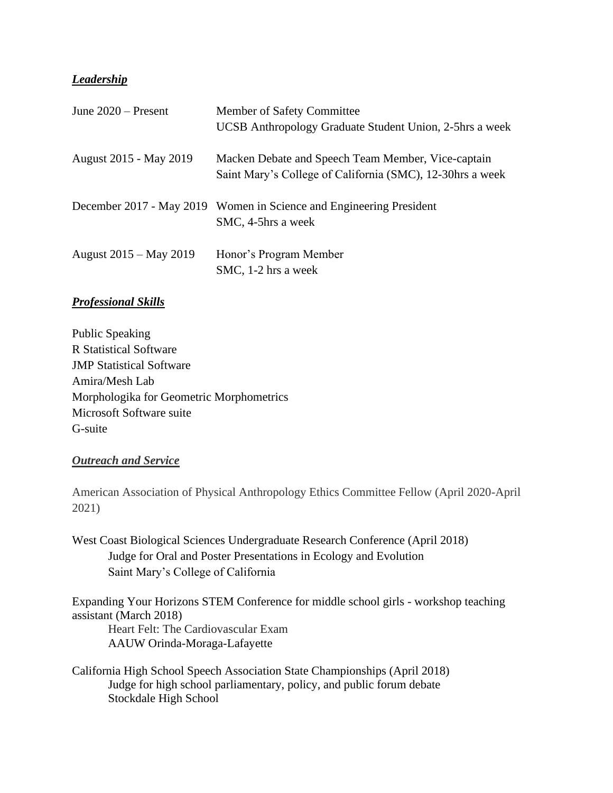## *Leadership*

| June $2020$ – Present  | Member of Safety Committee<br>UCSB Anthropology Graduate Student Union, 2-5hrs a week                           |
|------------------------|-----------------------------------------------------------------------------------------------------------------|
| August 2015 - May 2019 | Macken Debate and Speech Team Member, Vice-captain<br>Saint Mary's College of California (SMC), 12-30hrs a week |
|                        | December 2017 - May 2019 Women in Science and Engineering President<br>SMC, 4-5hrs a week                       |
| August 2015 – May 2019 | Honor's Program Member<br>SMC, 1-2 hrs a week                                                                   |

## *Professional Skills*

Public Speaking R Statistical Software JMP Statistical Software Amira/Mesh Lab Morphologika for Geometric Morphometrics Microsoft Software suite G-suite

#### *Outreach and Service*

American Association of Physical Anthropology Ethics Committee Fellow (April 2020-April 2021)

West Coast Biological Sciences Undergraduate Research Conference (April 2018) Judge for Oral and Poster Presentations in Ecology and Evolution Saint Mary's College of California

Expanding Your Horizons STEM Conference for middle school girls - workshop teaching assistant (March 2018) Heart Felt: The Cardiovascular Exam

AAUW Orinda-Moraga-Lafayette

California High School Speech Association State Championships (April 2018) Judge for high school parliamentary, policy, and public forum debate Stockdale High School